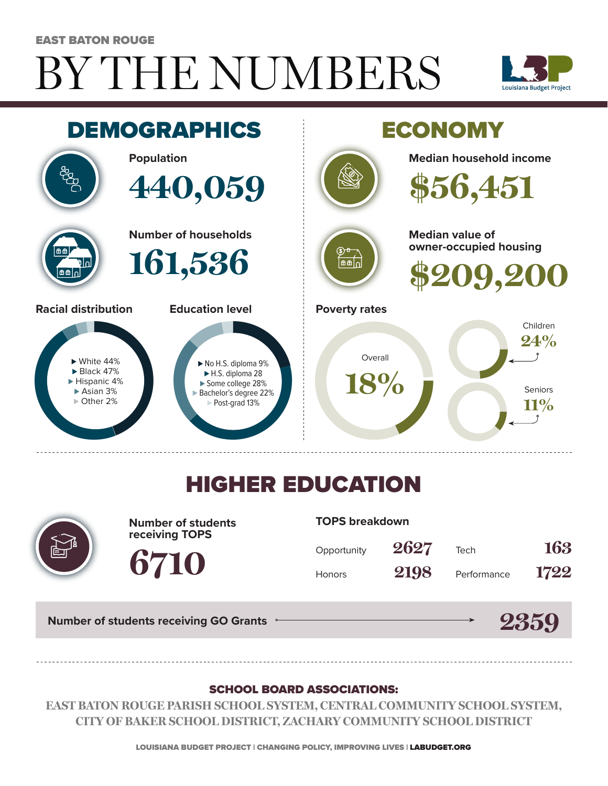# BY THE NUMBERS EAST BATON ROUGE





## HIGHER EDUCATION



**Number of students receiving TOPS**

**6710**

#### **TOPS breakdown**

| Opportunity   | 2627 | Tech        | 163  |
|---------------|------|-------------|------|
| <b>Honors</b> | 2198 | Performance | 1722 |

**2359**

**Number of students receiving GO Grants**

#### SCHOOL BOARD ASSOCIATIONS:

**EAST BATON ROUGE PARISH SCHOOL SYSTEM, CENTRAL COMMUNITY SCHOOL SYSTEM, CITY OF BAKER SCHOOL DISTRICT, ZACHARY COMMUNITY SCHOOL DISTRICT**

LOUISIANA BUDGET PROJECT | CHANGING POLICY, IMPROVING LIVES | LABUDGET.ORG